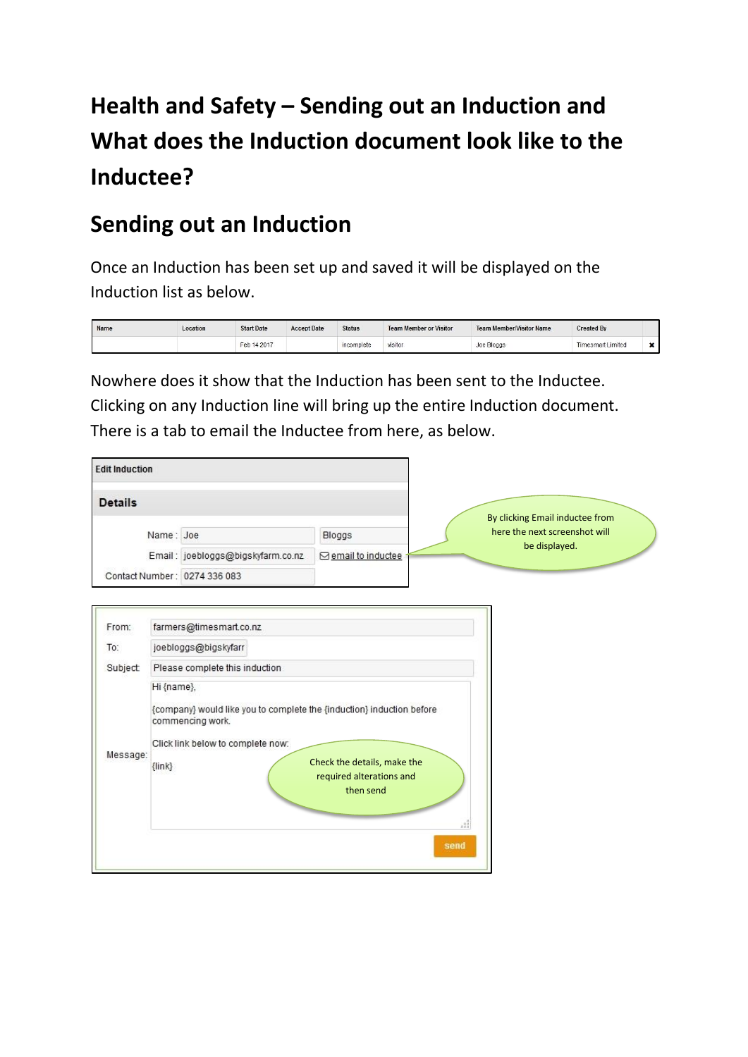## **Health and Safety – Sending out an Induction and What does the Induction document look like to the Inductee?**

## **Sending out an Induction**

 $\overline{ }$ 

Once an Induction has been set up and saved it will be displayed on the Induction list as below.

| Name | Location | <b>Start Date</b> | <b>Accept Date</b> | <b>Status</b> | <b>Team Member or Visitor</b> | <b>Team Member/Visitor Name</b> | <b>Created By</b>        |  |
|------|----------|-------------------|--------------------|---------------|-------------------------------|---------------------------------|--------------------------|--|
|      |          | Feb 14 2017       |                    | incomplete    | visitor                       | Joe Bloggs                      | <b>Timesmart Limited</b> |  |

Nowhere does it show that the Induction has been sent to the Inductee. Clicking on any Induction line will bring up the entire Induction document. There is a tab to email the Inductee from here, as below.

| <b>Edit Induction</b>        |                                   |                            |
|------------------------------|-----------------------------------|----------------------------|
| <b>Details</b>               |                                   |                            |
| Name: Joe                    |                                   | Bloggs                     |
|                              | Email: joebloggs@bigskyfarm.co.nz | <b>⊠</b> email to inductee |
| Contact Number: 0274 336 083 |                                   |                            |

| From:    | farmers@timesmart.co.nz                                                                                 |
|----------|---------------------------------------------------------------------------------------------------------|
| To:      | joebloggs@bigskyfarr                                                                                    |
| Subject: | Please complete this induction                                                                          |
|          | Hi {name},<br>{company} would like you to complete the {induction} induction before<br>commencing work. |
| Message: | Click link below to complete now:                                                                       |
|          | Check the details, make the<br>$\{$ lin $k\}$<br>required alterations and<br>then send                  |
|          | 21                                                                                                      |
|          | send                                                                                                    |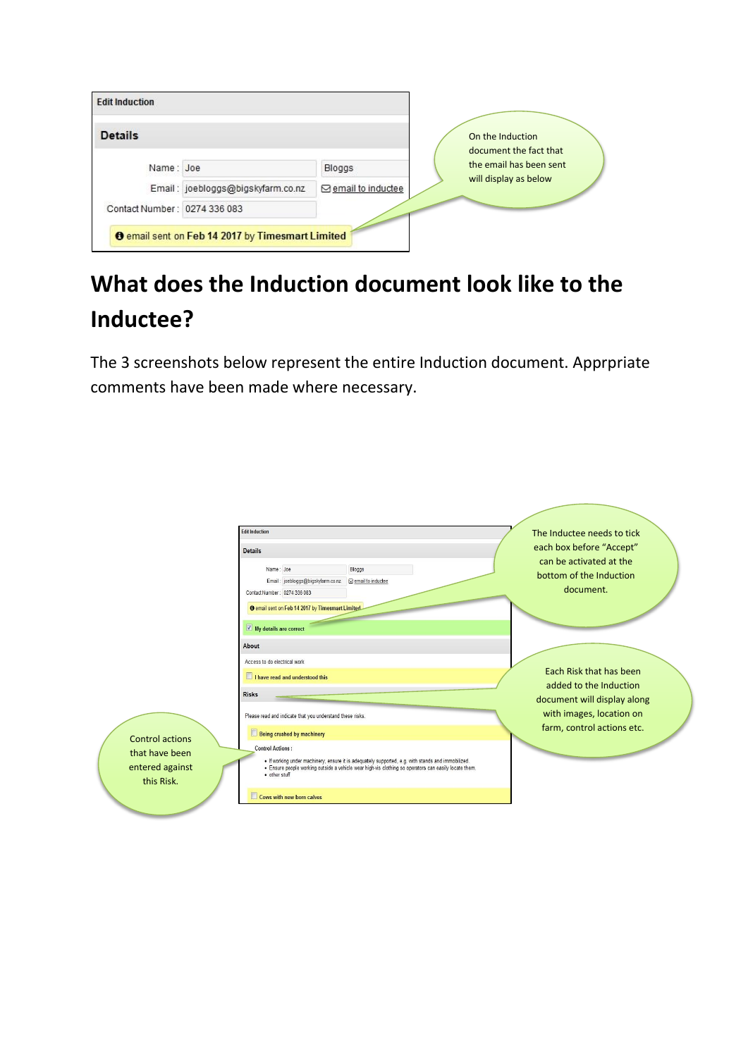| <b>Edit Induction</b>        |                                   |                            |                                            |
|------------------------------|-----------------------------------|----------------------------|--------------------------------------------|
| <b>Details</b>               |                                   |                            | On the Induction<br>document the fact that |
| Name: Joe                    |                                   | Bloggs                     | the email has been sent                    |
|                              | Email: joebloggs@bigskyfarm.co.nz | <b>⊠</b> email to inductee | will display as below                      |
| Contact Number: 0274 336 083 |                                   |                            |                                            |

## **What does the Induction document look like to the Inductee?**

The 3 screenshots below represent the entire Induction document. Apprpriate comments have been made where necessary.